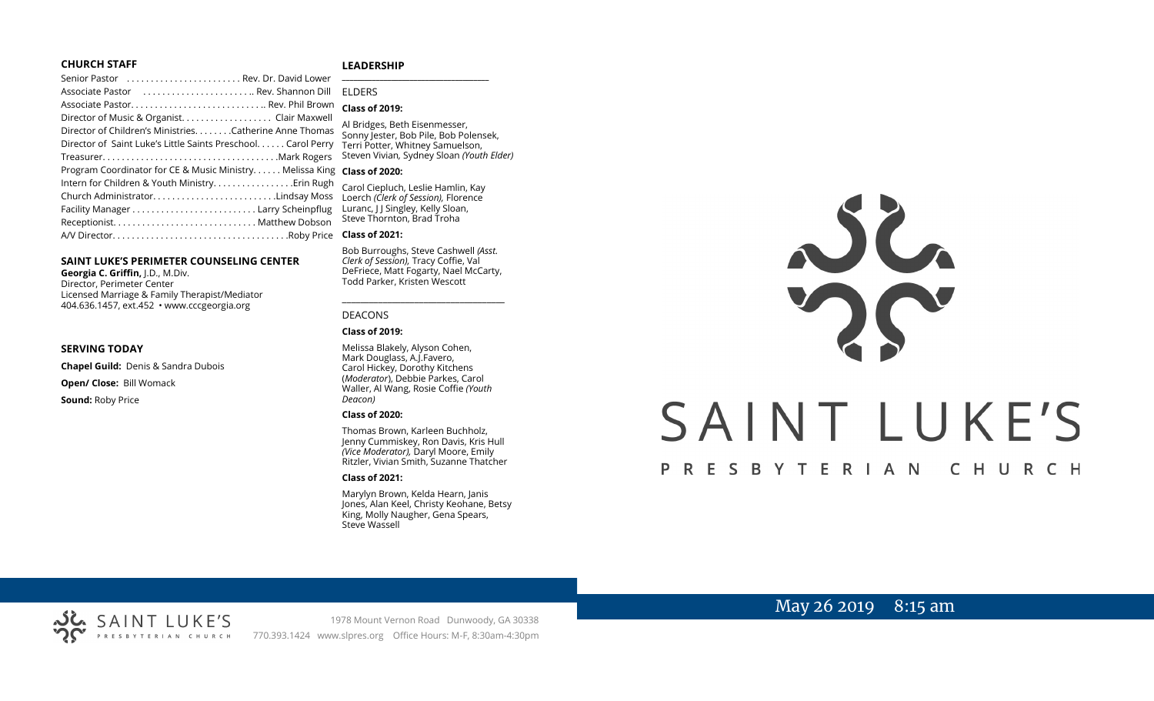#### **CHURCH STAFF**

#### **LEADERSHIP**

| Senior Pastor  Rev. Dr. David Lower                                                                                     |                                                                                      |                                                                                                            |
|-------------------------------------------------------------------------------------------------------------------------|--------------------------------------------------------------------------------------|------------------------------------------------------------------------------------------------------------|
| Associate Pastor  Rev. Shannon Dill                                                                                     |                                                                                      | <b>FIDERS</b>                                                                                              |
| Associate Pastor Rev. Phil Brown                                                                                        |                                                                                      | <b>Class of 2019:</b>                                                                                      |
|                                                                                                                         |                                                                                      |                                                                                                            |
| Director of Children's MinistriesCatherine Anne Thomas<br>Director of Saint Luke's Little Saints Preschool. Carol Perry |                                                                                      | Al Bridges, Beth Eisenmesser,<br>Sonny Jester, Bob Pile, Bob Polensek,<br>Terri Potter, Whitney Samuelson, |
|                                                                                                                         |                                                                                      |                                                                                                            |
| Program Coordinator for CE & Music Ministry Melissa King Class of 2020:                                                 |                                                                                      |                                                                                                            |
|                                                                                                                         | Intern for Children & Youth Ministry Erin Rugh<br>Carol Ciepluch, Leslie Hamlin, Kay |                                                                                                            |
|                                                                                                                         |                                                                                      | Loerch (Clerk of Session), Florence                                                                        |
|                                                                                                                         |                                                                                      | Luranc, J J Singley, Kelly Sloan,                                                                          |
|                                                                                                                         |                                                                                      | Steve Thornton, Brad Troha                                                                                 |
|                                                                                                                         |                                                                                      | <b>Class of 2021:</b>                                                                                      |

#### **SAINT LUKE'S PERIMETER COUNSELING CENTER**

**Georgia C. Griffin,** J.D., M.Div. Director, Perimeter Center Licensed Marriage & Family Therapist/Mediator 404.636.1457, ext.452 • www.cccgeorgia.org

#### **SERVING TODAY**

**Chapel Guild:** Denis & Sandra Dubois **Open/ Close:** Bill Womack **Sound:** Roby Price

#### *Deacon)*  **Class of 2020:**

DEACONS **Class of 2019:**

Thomas Brown, Karleen Buchholz, Jenny Cummiskey, Ron Davis, Kris Hull *(Vice Moderator),* Daryl Moore, Emily Ritzler, Vivian Smith, Suzanne Thatcher

Bob Burroughs, Steve Cashwell *(Asst. Clerk of Session),* Tracy Coffie, Val DeFriece, Matt Fogarty, Nael McCarty, Todd Parker, Kristen Wescott

\_\_\_\_\_\_\_\_\_\_\_\_\_\_\_\_\_\_\_\_\_\_\_\_\_\_\_\_\_\_\_\_\_\_\_\_

Melissa Blakely, Alyson Cohen, Mark Douglass, A.J.Favero, Carol Hickey, Dorothy Kitchens (*Moderator*), Debbie Parkes, Carol Waller, Al Wang, Rosie Coffie *(Youth* 

#### **Class of 2021:**

Marylyn Brown, Kelda Hearn, Janis Jones, Alan Keel, Christy Keohane, Betsy King, Molly Naugher, Gena Spears, Steve Wassell

# JC. SAINT LUKE'S P R E S B Y T E R I A N CHURCH

# May 26 2019 8:15 am



1978 Mount Vernon Road Dunwoody, GA 30338 PRESBYTERIAN CHURCH 770.393.1424 www.slpres.org Office Hours: M-F, 8:30am-4:30pm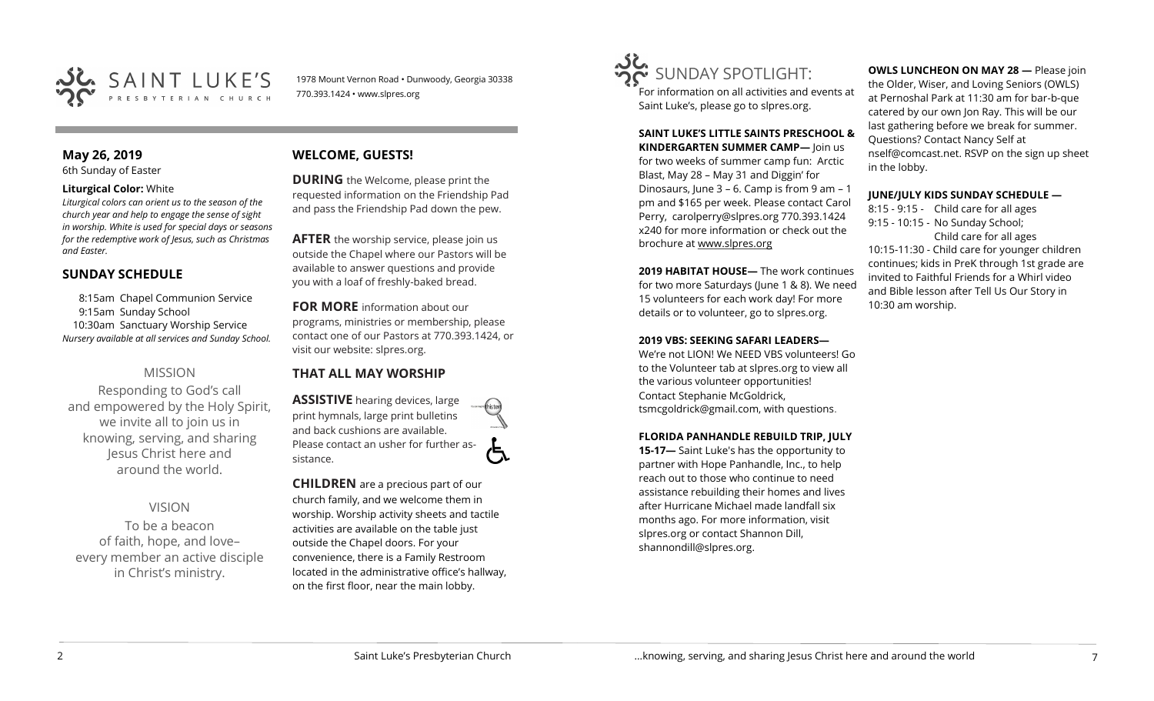

1978 Mount Vernon Road • Dunwoody, Georgia 30338 770.393.1424 • www.slpres.org

# **May 26, 2019**

6th Sunday of Easter

#### **Liturgical Color:** White

*Liturgical colors can orient us to the season of the church year and help to engage the sense of sight in worship. White is used for special days or seasons for the redemptive work of Jesus, such as Christmas and Easter.*

#### **SUNDAY SCHEDULE**

8:15am Chapel Communion Service 9:15am Sunday School 10:30am Sanctuary Worship Service *Nursery available at all services and Sunday School.* 

#### MISSION

Responding to God's call and empowered by the Holy Spirit, we invite all to join us in knowing, serving, and sharing Jesus Christ here and around the world.

# VISION

To be a beacon of faith, hope, and love– every member an active disciple in Christ's ministry.

# **WELCOME, GUESTS!**

**DURING** the Welcome, please print the requested information on the Friendship Pad and pass the Friendship Pad down the pew.

**AFTER** the worship service, please join us outside the Chapel where our Pastors will be available to answer questions and provide you with a loaf of freshly-baked bread.

**FOR MORE** information about our programs, ministries or membership, please contact one of our Pastors at 770.393.1424, or visit our website: slpres.org.

#### **THAT ALL MAY WORSHIP**

**ASSISTIVE** hearing devices, large print hymnals, large print bulletins and back cushions are available. Please contact an usher for further assistance.

**CHILDREN** are a precious part of our church family, and we welcome them in worship. Worship activity sheets and tactile activities are available on the table just outside the Chapel doors. For your convenience, there is a Family Restroom located in the administrative office's hallway, on the first floor, near the main lobby.



For information on all activities and events at Saint Luke's, please go to slpres.org.

# **SAINT LUKE'S LITTLE SAINTS PRESCHOOL & KINDERGARTEN SUMMER CAMP—** Join us

for two weeks of summer camp fun: Arctic Blast, May 28 – May 31 and Diggin' for Dinosaurs, June 3 – 6. Camp is from 9 am – 1 pm and \$165 per week. Please contact Carol Perry, [carolperry@slpres.org](mailto:carolperry@slpres.org) 770.393.1424 x240 for more information or check out the brochure at [www.slpres.org](http://www.slpres.org)

**2019 HABITAT HOUSE—** The work continues for two more Saturdays (June 1 & 8). We need 15 volunteers for each work day! For more details or to volunteer, go to slpres.org.

#### **2019 VBS: SEEKING SAFARI LEADERS—**

We're not LION! We NEED VBS volunteers! Go to the Volunteer tab at slpres.org to view all the various volunteer opportunities! Contact Stephanie McGoldrick, tsmcgoldrick@gmail.com, with questions.

#### **FLORIDA PANHANDLE REBUILD TRIP, JULY**

**15-17—** Saint Luke's has the opportunity to partner with Hope Panhandle, Inc., to help reach out to those who continue to need assistance rebuilding their homes and lives after Hurricane Michael made landfall six months ago. For more information, visit slpres.org or contact Shannon Dill, shannondill@slpres.org.

#### **OWLS LUNCHEON ON MAY 28 —** Please join

the Older, Wiser, and Loving Seniors (OWLS) at Pernoshal Park at 11:30 am for bar-b-que catered by our own Jon Ray. This will be our last gathering before we break for summer. Questions? Contact Nancy Self at nself@comcast.net. RSVP on the sign up sheet in the lobby.

#### **JUNE/JULY KIDS SUNDAY SCHEDULE —**

8:15 - 9:15 - Child care for all ages 9:15 - 10:15 - No Sunday School; Child care for all ages 10:15-11:30 - Child care for younger children continues; kids in PreK through 1st grade are invited to Faithful Friends for a Whirl video and Bible lesson after Tell Us Our Story in 10:30 am worship.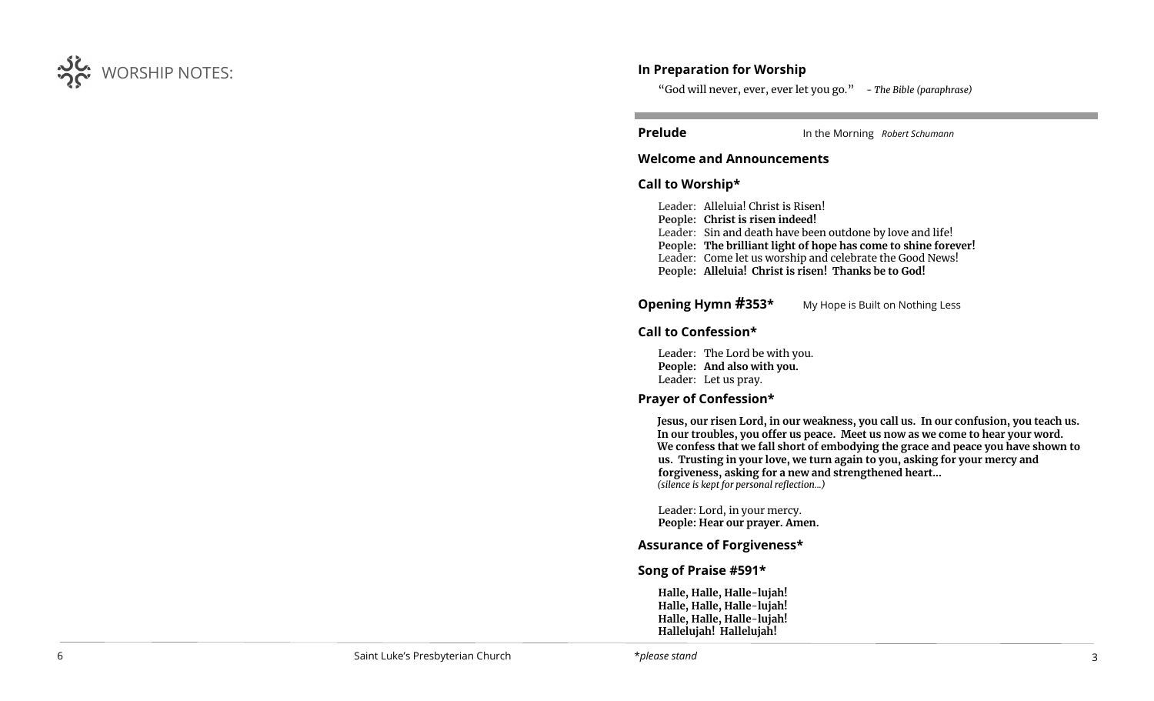

#### **In Preparation for Worship**

"God will never, ever, ever let you go." *- The Bible (paraphrase)*

ı **Prelude** In the Morning *Robert Schumann*

#### **Welcome and Announcements**

#### **Call to Worship\***

Leader: Alleluia! Christ is Risen! **People: Christ is risen indeed!** Leader: Sin and death have been outdone by love and life! **People: The brilliant light of hope has come to shine forever!** Leader: Come let us worship and celebrate the Good News! **People: Alleluia! Christ is risen! Thanks be to God!**

## **Opening Hymn #353\*** My Hope is Built on Nothing Less

#### **Call to Confession\***

Leader: The Lord be with you. **People: And also with you.**  Leader: Let us pray.

#### **Prayer of Confession\***

**Jesus, our risen Lord, in our weakness, you call us. In our confusion, you teach us. In our troubles, you offer us peace. Meet us now as we come to hear your word. We confess that we fall short of embodying the grace and peace you have shown to us. Trusting in your love, we turn again to you, asking for your mercy and forgiveness, asking for a new and strengthened heart...** *(silence is kept for personal reflection...)*

Leader: Lord, in your mercy. **People: Hear our prayer. Amen.**

# **Assurance of Forgiveness\***

#### **Song of Praise #591\***

**Halle, Halle, Halle-lujah! Halle, Halle, Halle**-**lujah! Halle, Halle, Halle**-**lujah! Hallelujah! Hallelujah!**